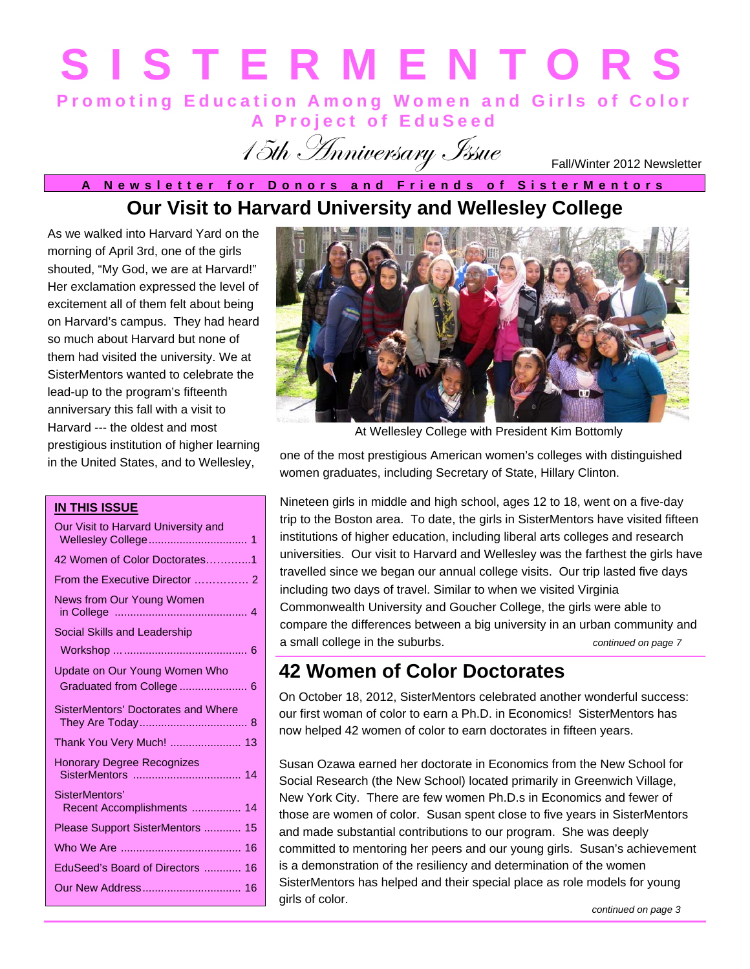# **Promoting Education Among Women and Girls of Color SISTERMENTORS**

15th Anniversary Issue

**A Project of EduSeed** 

Fall/Winter 2012 Newsletter

### **Our Visit to Harvard University and Wellesley College A Newsletter for Donors and Friends of SisterMentors**

As we walked into Harvard Yard on the morning of April 3rd, one of the girls shouted, "My God, we are at Harvard!" Her exclamation expressed the level of excitement all of them felt about being on Harvard's campus. They had heard so much about Harvard but none of them had visited the university. We at SisterMentors wanted to celebrate the lead-up to the program's fifteenth anniversary this fall with a visit to Harvard --- the oldest and most prestigious institution of higher learning in the United States, and to Wellesley,

#### **IN THIS ISSUE**

| Our Visit to Harvard University and          |
|----------------------------------------------|
| 42 Women of Color Doctorates1                |
|                                              |
| News from Our Young Women                    |
| Social Skills and Leadership                 |
|                                              |
| Update on Our Young Women Who                |
| Graduated from College  6                    |
| SisterMentors' Doctorates and Where          |
| Thank You Very Much!  13                     |
| <b>Honorary Degree Recognizes</b>            |
| SisterMentors'<br>Recent Accomplishments  14 |
| Please Support SisterMentors  15             |
|                                              |
| EduSeed's Board of Directors  16             |
|                                              |
|                                              |



At Wellesley College with President Kim Bottomly

one of the most prestigious American women's colleges with distinguished women graduates, including Secretary of State, Hillary Clinton.

Nineteen girls in middle and high school, ages 12 to 18, went on a five-day trip to the Boston area. To date, the girls in SisterMentors have visited fifteen institutions of higher education, including liberal arts colleges and research universities. Our visit to Harvard and Wellesley was the farthest the girls have travelled since we began our annual college visits. Our trip lasted five days including two days of travel. Similar to when we visited Virginia Commonwealth University and Goucher College, the girls were able to compare the differences between a big university in an urban community and a small college in the suburbs. *continued on page 7* 

### **42 Women of Color Doctorates**

On October 18, 2012, SisterMentors celebrated another wonderful success: our first woman of color to earn a Ph.D. in Economics! SisterMentors has now helped 42 women of color to earn doctorates in fifteen years.

Susan Ozawa earned her doctorate in Economics from the New School for Social Research (the New School) located primarily in Greenwich Village, New York City. There are few women Ph.D.s in Economics and fewer of those are women of color. Susan spent close to five years in SisterMentors and made substantial contributions to our program. She was deeply committed to mentoring her peers and our young girls. Susan's achievement is a demonstration of the resiliency and determination of the women SisterMentors has helped and their special place as role models for young girls of color.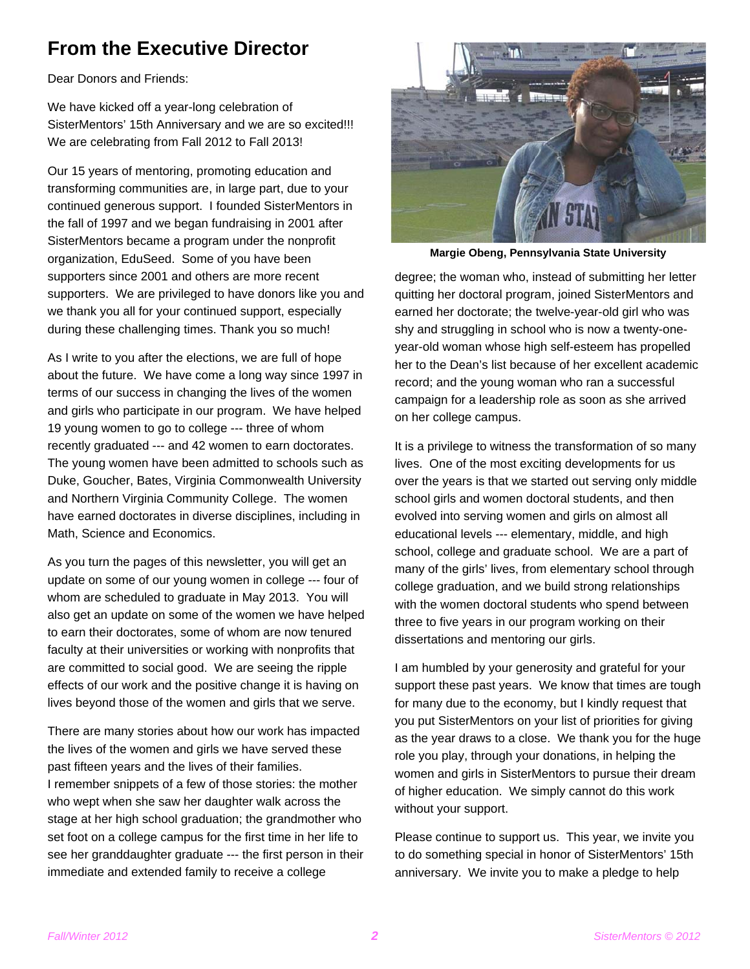### **From the Executive Director**

Dear Donors and Friends:

We have kicked off a year-long celebration of SisterMentors' 15th Anniversary and we are so excited!!! We are celebrating from Fall 2012 to Fall 2013!

Our 15 years of mentoring, promoting education and transforming communities are, in large part, due to your continued generous support. I founded SisterMentors in the fall of 1997 and we began fundraising in 2001 after SisterMentors became a program under the nonprofit organization, EduSeed. Some of you have been supporters since 2001 and others are more recent supporters. We are privileged to have donors like you and we thank you all for your continued support, especially during these challenging times. Thank you so much!

As I write to you after the elections, we are full of hope about the future. We have come a long way since 1997 in terms of our success in changing the lives of the women and girls who participate in our program. We have helped 19 young women to go to college --- three of whom recently graduated --- and 42 women to earn doctorates. The young women have been admitted to schools such as Duke, Goucher, Bates, Virginia Commonwealth University and Northern Virginia Community College. The women have earned doctorates in diverse disciplines, including in Math, Science and Economics.

As you turn the pages of this newsletter, you will get an update on some of our young women in college --- four of whom are scheduled to graduate in May 2013. You will also get an update on some of the women we have helped to earn their doctorates, some of whom are now tenured faculty at their universities or working with nonprofits that are committed to social good. We are seeing the ripple effects of our work and the positive change it is having on lives beyond those of the women and girls that we serve.

There are many stories about how our work has impacted the lives of the women and girls we have served these past fifteen years and the lives of their families. I remember snippets of a few of those stories: the mother who wept when she saw her daughter walk across the stage at her high school graduation; the grandmother who set foot on a college campus for the first time in her life to see her granddaughter graduate --- the first person in their immediate and extended family to receive a college



**Margie Obeng, Pennsylvania State University** 

degree; the woman who, instead of submitting her letter quitting her doctoral program, joined SisterMentors and earned her doctorate; the twelve-year-old girl who was shy and struggling in school who is now a twenty-oneyear-old woman whose high self-esteem has propelled her to the Dean's list because of her excellent academic record; and the young woman who ran a successful campaign for a leadership role as soon as she arrived on her college campus.

It is a privilege to witness the transformation of so many lives. One of the most exciting developments for us over the years is that we started out serving only middle school girls and women doctoral students, and then evolved into serving women and girls on almost all educational levels --- elementary, middle, and high school, college and graduate school. We are a part of many of the girls' lives, from elementary school through college graduation, and we build strong relationships with the women doctoral students who spend between three to five years in our program working on their dissertations and mentoring our girls.

I am humbled by your generosity and grateful for your support these past years. We know that times are tough for many due to the economy, but I kindly request that you put SisterMentors on your list of priorities for giving as the year draws to a close. We thank you for the huge role you play, through your donations, in helping the women and girls in SisterMentors to pursue their dream of higher education. We simply cannot do this work without your support.

Please continue to support us. This year, we invite you to do something special in honor of SisterMentors' 15th anniversary. We invite you to make a pledge to help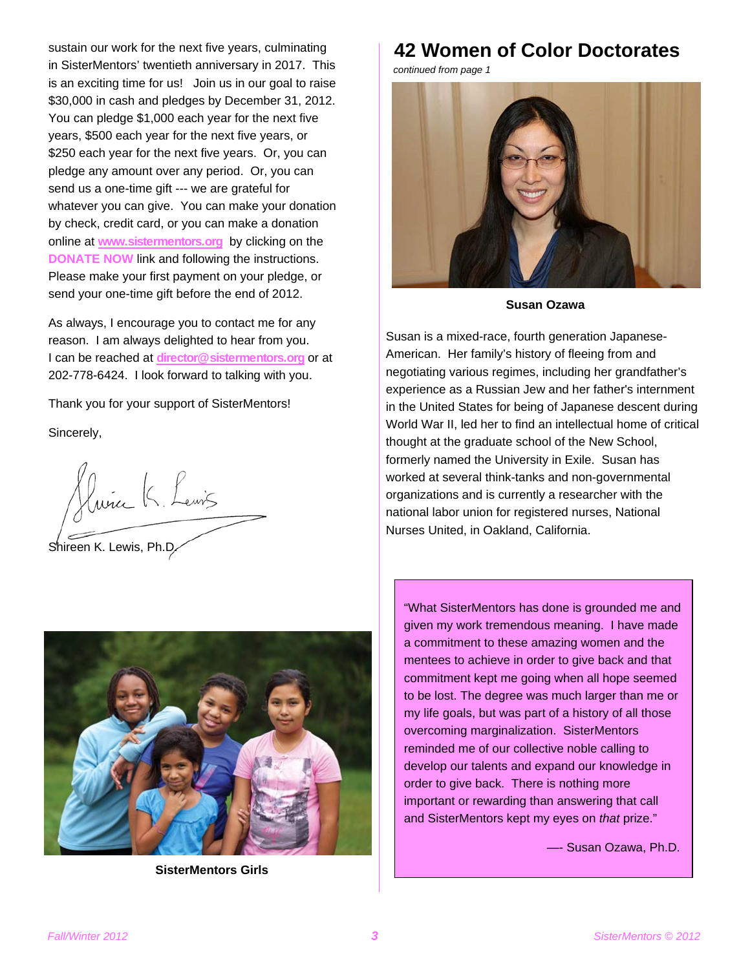sustain our work for the next five years, culminating in SisterMentors' twentieth anniversary in 2017. This is an exciting time for us! Join us in our goal to raise \$30,000 in cash and pledges by December 31, 2012. You can pledge \$1,000 each year for the next five years, \$500 each year for the next five years, or \$250 each year for the next five years. Or, you can pledge any amount over any period. Or, you can send us a one-time gift --- we are grateful for whatever you can give. You can make your donation by check, credit card, or you can make a donation online at **www.sistermentors.org** by clicking on the **DONATE NOW** link and following the instructions. Please make your first payment on your pledge, or send your one-time gift before the end of 2012.

As always, I encourage you to contact me for any reason. I am always delighted to hear from you. I can be reached at **director@sistermentors.org** or at 202-778-6424. I look forward to talking with you.

Thank you for your support of SisterMentors! Sincerely,

fluire K. Leuis Shireen K. Lewis, Ph.D.



**SisterMentors Girls** 

### **42 Women of Color Doctorates**

*continued from page 1* 



**Susan Ozawa** 

Susan is a mixed-race, fourth generation Japanese-American. Her family's history of fleeing from and negotiating various regimes, including her grandfather's experience as a Russian Jew and her father's internment in the United States for being of Japanese descent during World War II, led her to find an intellectual home of critical thought at the graduate school of the New School, formerly named the University in Exile. Susan has worked at several think-tanks and non-governmental organizations and is currently a researcher with the national labor union for registered nurses, National Nurses United, in Oakland, California.

"What SisterMentors has done is grounded me and given my work tremendous meaning. I have made a commitment to these amazing women and the mentees to achieve in order to give back and that commitment kept me going when all hope seemed to be lost. The degree was much larger than me or my life goals, but was part of a history of all those overcoming marginalization. SisterMentors reminded me of our collective noble calling to develop our talents and expand our knowledge in order to give back. There is nothing more important or rewarding than answering that call and SisterMentors kept my eyes on *that* prize."

—- Susan Ozawa, Ph.D.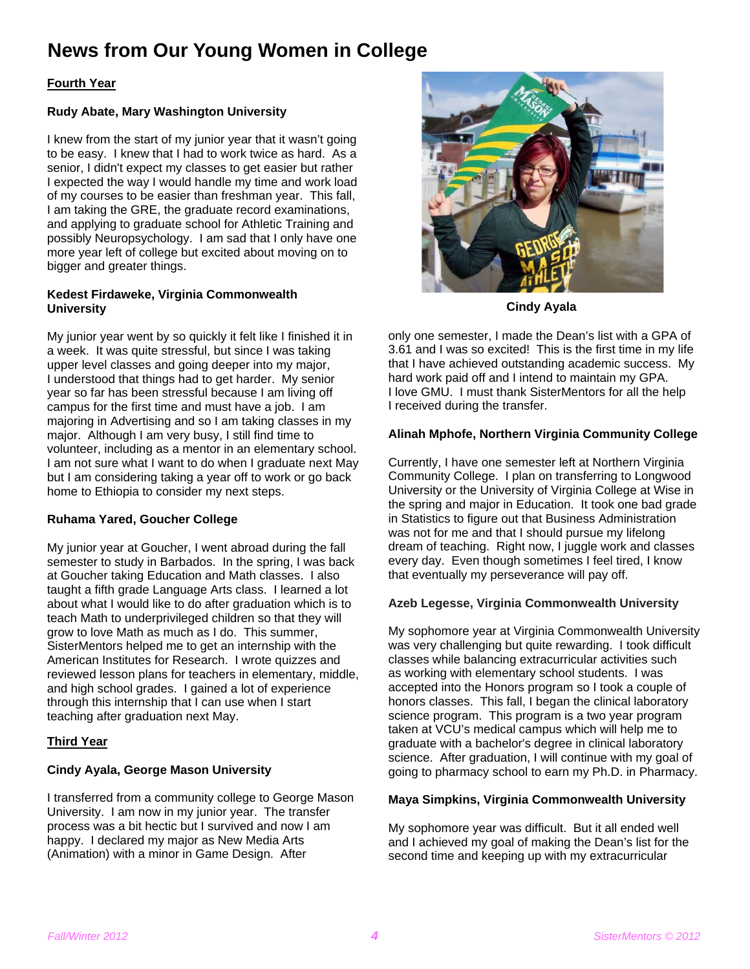### **News from Our Young Women in College**

#### **Fourth Year**

#### **Rudy Abate, Mary Washington University**

I knew from the start of my junior year that it wasn't going to be easy. I knew that I had to work twice as hard. As a senior, I didn't expect my classes to get easier but rather I expected the way I would handle my time and work load of my courses to be easier than freshman year. This fall, I am taking the GRE, the graduate record examinations, and applying to graduate school for Athletic Training and possibly Neuropsychology. I am sad that I only have one more year left of college but excited about moving on to bigger and greater things.

#### **Kedest Firdaweke, Virginia Commonwealth University**

My junior year went by so quickly it felt like I finished it in a week. It was quite stressful, but since I was taking upper level classes and going deeper into my major, I understood that things had to get harder. My senior year so far has been stressful because I am living off campus for the first time and must have a job. I am majoring in Advertising and so I am taking classes in my major. Although I am very busy, I still find time to volunteer, including as a mentor in an elementary school. I am not sure what I want to do when I graduate next May but I am considering taking a year off to work or go back home to Ethiopia to consider my next steps.

#### **Ruhama Yared, Goucher College**

My junior year at Goucher, I went abroad during the fall semester to study in Barbados. In the spring, I was back at Goucher taking Education and Math classes. I also taught a fifth grade Language Arts class. I learned a lot about what I would like to do after graduation which is to teach Math to underprivileged children so that they will grow to love Math as much as I do. This summer, SisterMentors helped me to get an internship with the American Institutes for Research. I wrote quizzes and reviewed lesson plans for teachers in elementary, middle, and high school grades. I gained a lot of experience through this internship that I can use when I start teaching after graduation next May.

#### **Third Year**

#### **Cindy Ayala, George Mason University**

I transferred from a community college to George Mason University. I am now in my junior year. The transfer process was a bit hectic but I survived and now I am happy. I declared my major as New Media Arts (Animation) with a minor in Game Design. After



**Cindy Ayala** 

only one semester, I made the Dean's list with a GPA of 3.61 and I was so excited! This is the first time in my life that I have achieved outstanding academic success. My hard work paid off and I intend to maintain my GPA. I love GMU. I must thank SisterMentors for all the help I received during the transfer.

#### **Alinah Mphofe, Northern Virginia Community College**

Currently, I have one semester left at Northern Virginia Community College. I plan on transferring to Longwood University or the University of Virginia College at Wise in the spring and major in Education. It took one bad grade in Statistics to figure out that Business Administration was not for me and that I should pursue my lifelong dream of teaching. Right now, I juggle work and classes every day. Even though sometimes I feel tired, I know that eventually my perseverance will pay off.

#### **Azeb Legesse, Virginia Commonwealth University**

My sophomore year at Virginia Commonwealth University was very challenging but quite rewarding. I took difficult classes while balancing extracurricular activities such as working with elementary school students. I was accepted into the Honors program so I took a couple of honors classes. This fall, I began the clinical laboratory science program. This program is a two year program taken at VCU's medical campus which will help me to graduate with a bachelor's degree in clinical laboratory science. After graduation, I will continue with my goal of going to pharmacy school to earn my Ph.D. in Pharmacy.

#### **Maya Simpkins, Virginia Commonwealth University**

My sophomore year was difficult. But it all ended well and I achieved my goal of making the Dean's list for the second time and keeping up with my extracurricular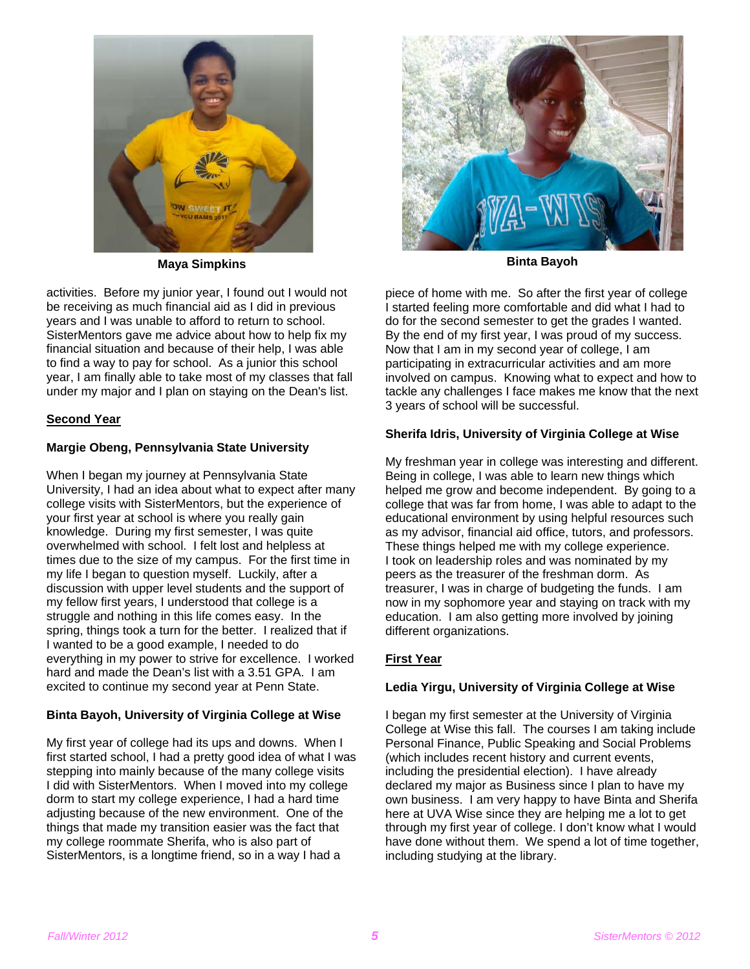

**Maya Simpkins Binta Bayoh All Accords** Binta Bayoh **Binta Bayoh** 

activities. Before my junior year, I found out I would not be receiving as much financial aid as I did in previous years and I was unable to afford to return to school. SisterMentors gave me advice about how to help fix my financial situation and because of their help, I was able to find a way to pay for school. As a junior this school year, I am finally able to take most of my classes that fall under my major and I plan on staying on the Dean's list.

#### **Second Year**

#### **Margie Obeng, Pennsylvania State University**

When I began my journey at Pennsylvania State University, I had an idea about what to expect after many college visits with SisterMentors, but the experience of your first year at school is where you really gain knowledge. During my first semester, I was quite overwhelmed with school. I felt lost and helpless at times due to the size of my campus. For the first time in my life I began to question myself. Luckily, after a discussion with upper level students and the support of my fellow first years, I understood that college is a struggle and nothing in this life comes easy. In the spring, things took a turn for the better. I realized that if I wanted to be a good example, I needed to do everything in my power to strive for excellence. I worked hard and made the Dean's list with a 3.51 GPA. I am excited to continue my second year at Penn State.

#### **Binta Bayoh, University of Virginia College at Wise**

My first year of college had its ups and downs. When I first started school, I had a pretty good idea of what I was stepping into mainly because of the many college visits I did with SisterMentors. When I moved into my college dorm to start my college experience, I had a hard time adjusting because of the new environment. One of the things that made my transition easier was the fact that my college roommate Sherifa, who is also part of SisterMentors, is a longtime friend, so in a way I had a



piece of home with me. So after the first year of college I started feeling more comfortable and did what I had to do for the second semester to get the grades I wanted. By the end of my first year, I was proud of my success. Now that I am in my second year of college, I am participating in extracurricular activities and am more involved on campus. Knowing what to expect and how to tackle any challenges I face makes me know that the next 3 years of school will be successful.

#### **Sherifa Idris, University of Virginia College at Wise**

My freshman year in college was interesting and different. Being in college, I was able to learn new things which helped me grow and become independent. By going to a college that was far from home, I was able to adapt to the educational environment by using helpful resources such as my advisor, financial aid office, tutors, and professors. These things helped me with my college experience. I took on leadership roles and was nominated by my peers as the treasurer of the freshman dorm. As treasurer, I was in charge of budgeting the funds. I am now in my sophomore year and staying on track with my education. I am also getting more involved by joining different organizations.

### **First Year**

#### **Ledia Yirgu, University of Virginia College at Wise**

I began my first semester at the University of Virginia College at Wise this fall. The courses I am taking include Personal Finance, Public Speaking and Social Problems (which includes recent history and current events, including the presidential election). I have already declared my major as Business since I plan to have my own business. I am very happy to have Binta and Sherifa here at UVA Wise since they are helping me a lot to get through my first year of college. I don't know what I would have done without them. We spend a lot of time together, including studying at the library.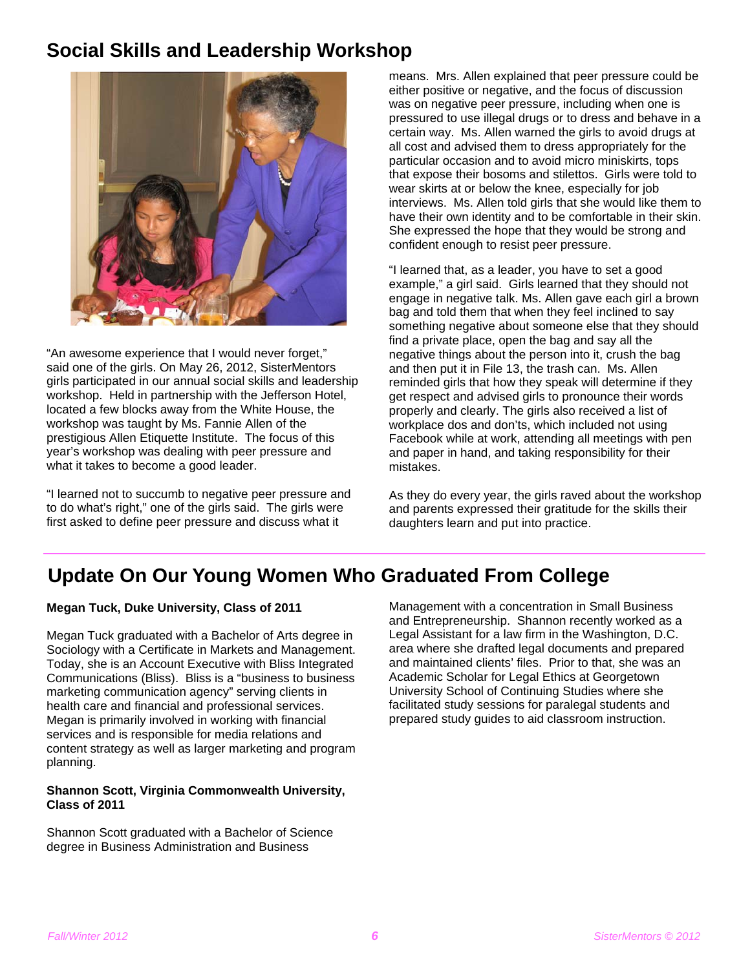### **Social Skills and Leadership Workshop**



"An awesome experience that I would never forget," said one of the girls. On May 26, 2012, SisterMentors girls participated in our annual social skills and leadership workshop. Held in partnership with the Jefferson Hotel, located a few blocks away from the White House, the workshop was taught by Ms. Fannie Allen of the prestigious Allen Etiquette Institute. The focus of this year's workshop was dealing with peer pressure and what it takes to become a good leader.

"I learned not to succumb to negative peer pressure and to do what's right," one of the girls said. The girls were first asked to define peer pressure and discuss what it

means. Mrs. Allen explained that peer pressure could be either positive or negative, and the focus of discussion was on negative peer pressure, including when one is pressured to use illegal drugs or to dress and behave in a certain way. Ms. Allen warned the girls to avoid drugs at all cost and advised them to dress appropriately for the particular occasion and to avoid micro miniskirts, tops that expose their bosoms and stilettos. Girls were told to wear skirts at or below the knee, especially for job interviews. Ms. Allen told girls that she would like them to have their own identity and to be comfortable in their skin. She expressed the hope that they would be strong and confident enough to resist peer pressure.

"I learned that, as a leader, you have to set a good example," a girl said. Girls learned that they should not engage in negative talk. Ms. Allen gave each girl a brown bag and told them that when they feel inclined to say something negative about someone else that they should find a private place, open the bag and say all the negative things about the person into it, crush the bag and then put it in File 13, the trash can. Ms. Allen reminded girls that how they speak will determine if they get respect and advised girls to pronounce their words properly and clearly. The girls also received a list of workplace dos and don'ts, which included not using Facebook while at work, attending all meetings with pen and paper in hand, and taking responsibility for their mistakes.

As they do every year, the girls raved about the workshop and parents expressed their gratitude for the skills their daughters learn and put into practice.

### **Update On Our Young Women Who Graduated From College**

#### **Megan Tuck, Duke University, Class of 2011**

Megan Tuck graduated with a Bachelor of Arts degree in Sociology with a Certificate in Markets and Management. Today, she is an Account Executive with Bliss Integrated Communications (Bliss). Bliss is a "business to business marketing communication agency" serving clients in health care and financial and professional services. Megan is primarily involved in working with financial services and is responsible for media relations and content strategy as well as larger marketing and program planning.

#### **Shannon Scott, Virginia Commonwealth University, Class of 2011**

Shannon Scott graduated with a Bachelor of Science degree in Business Administration and Business

Management with a concentration in Small Business and Entrepreneurship. Shannon recently worked as a Legal Assistant for a law firm in the Washington, D.C. area where she drafted legal documents and prepared and maintained clients' files. Prior to that, she was an Academic Scholar for Legal Ethics at Georgetown University School of Continuing Studies where she facilitated study sessions for paralegal students and prepared study guides to aid classroom instruction.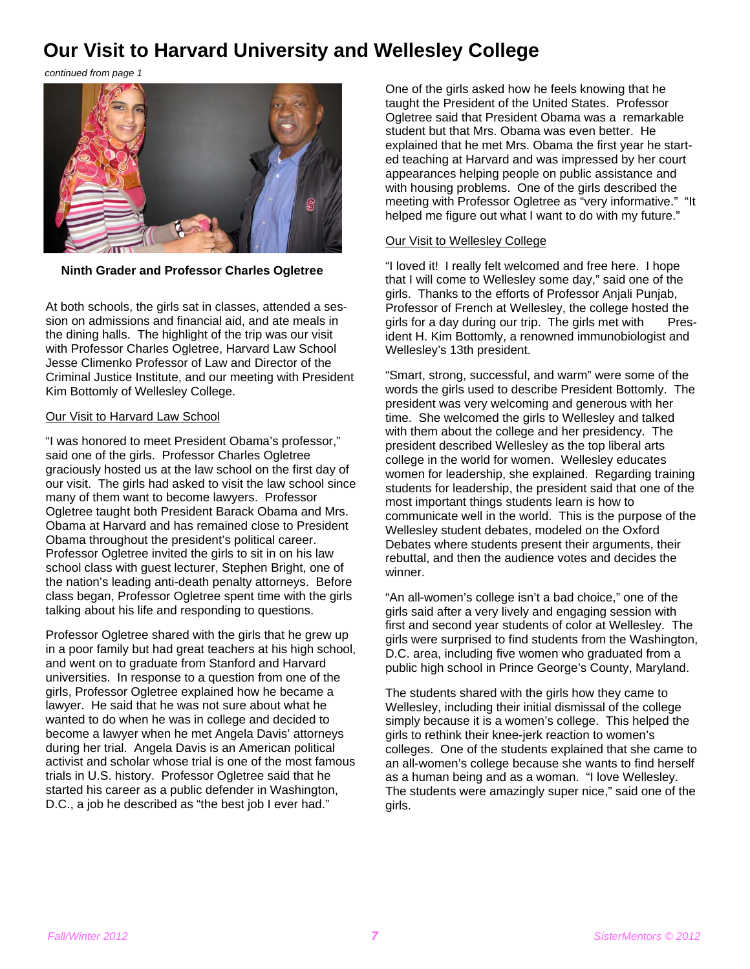### **Our Visit to Harvard University and Wellesley College**

*continued from page 1* 



**Ninth Grader and Professor Charles Ogletree**

At both schools, the girls sat in classes, attended a session on admissions and financial aid, and ate meals in the dining halls. The highlight of the trip was our visit with Professor Charles Ogletree, Harvard Law School Jesse Climenko Professor of Law and Director of the Criminal Justice Institute, and our meeting with President Kim Bottomly of Wellesley College.

#### Our Visit to Harvard Law School

"I was honored to meet President Obama's professor," said one of the girls. Professor Charles Ogletree graciously hosted us at the law school on the first day of our visit. The girls had asked to visit the law school since many of them want to become lawyers. Professor Ogletree taught both President Barack Obama and Mrs. Obama at Harvard and has remained close to President Obama throughout the president's political career. Professor Ogletree invited the girls to sit in on his law school class with guest lecturer, Stephen Bright, one of the nation's leading anti-death penalty attorneys. Before class began, Professor Ogletree spent time with the girls talking about his life and responding to questions.

Professor Ogletree shared with the girls that he grew up in a poor family but had great teachers at his high school, and went on to graduate from Stanford and Harvard universities. In response to a question from one of the girls, Professor Ogletree explained how he became a lawyer. He said that he was not sure about what he wanted to do when he was in college and decided to become a lawyer when he met Angela Davis' attorneys during her trial. Angela Davis is an American political activist and scholar whose trial is one of the most famous trials in U.S. history. Professor Ogletree said that he started his career as a public defender in Washington, D.C., a job he described as "the best job I ever had."

One of the girls asked how he feels knowing that he taught the President of the United States. Professor Ogletree said that President Obama was a remarkable student but that Mrs. Obama was even better. He explained that he met Mrs. Obama the first year he started teaching at Harvard and was impressed by her court appearances helping people on public assistance and with housing problems. One of the girls described the meeting with Professor Ogletree as "very informative." "It helped me figure out what I want to do with my future."

#### Our Visit to Wellesley College

"I loved it! I really felt welcomed and free here. I hope that I will come to Wellesley some day," said one of the girls. Thanks to the efforts of Professor Anjali Punjab, Professor of French at Wellesley, the college hosted the girls for a day during our trip. The girls met with President H. Kim Bottomly, a renowned immunobiologist and Wellesley's 13th president.

"Smart, strong, successful, and warm" were some of the words the girls used to describe President Bottomly. The president was very welcoming and generous with her time. She welcomed the girls to Wellesley and talked with them about the college and her presidency. The president described Wellesley as the top liberal arts college in the world for women. Wellesley educates women for leadership, she explained. Regarding training students for leadership, the president said that one of the most important things students learn is how to communicate well in the world. This is the purpose of the Wellesley student debates, modeled on the Oxford Debates where students present their arguments, their rebuttal, and then the audience votes and decides the winner.

"An all-women's college isn't a bad choice," one of the girls said after a very lively and engaging session with first and second year students of color at Wellesley. The girls were surprised to find students from the Washington, D.C. area, including five women who graduated from a public high school in Prince George's County, Maryland.

The students shared with the girls how they came to Wellesley, including their initial dismissal of the college simply because it is a women's college. This helped the girls to rethink their knee-jerk reaction to women's colleges. One of the students explained that she came to an all-women's college because she wants to find herself as a human being and as a woman. "I love Wellesley. The students were amazingly super nice," said one of the girls.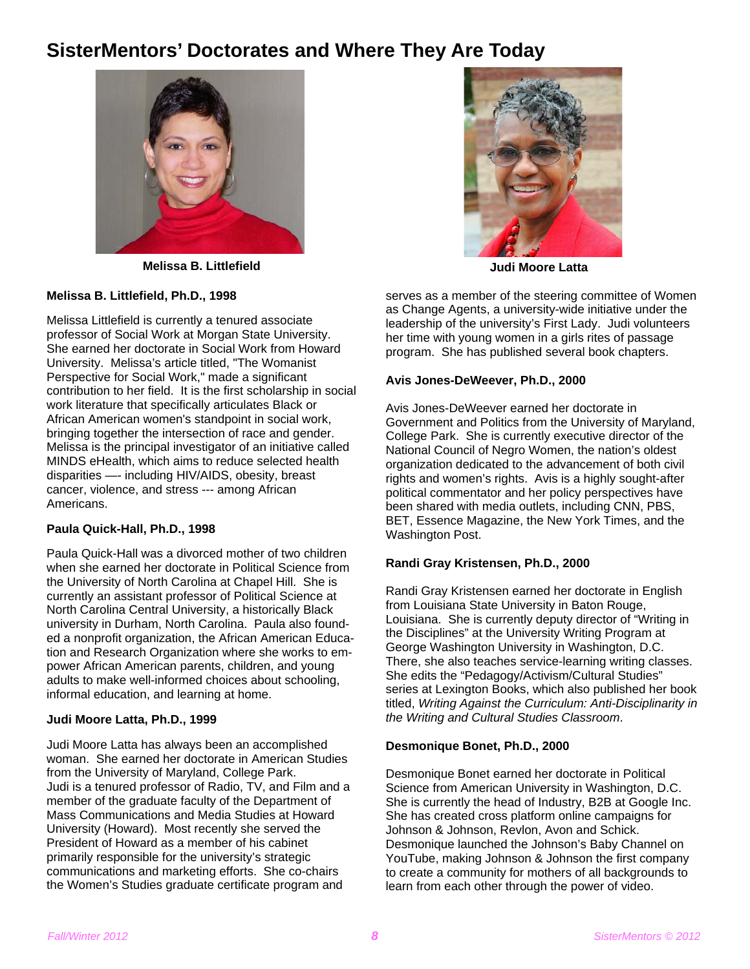### **SisterMentors' Doctorates and Where They Are Today**



**Melissa B. Littlefield Community Community Community Community Community Community Community Community Community** 



#### **Melissa B. Littlefield, Ph.D., 1998**

Melissa Littlefield is currently a tenured associate professor of Social Work at Morgan State University. She earned her doctorate in Social Work from Howard University. Melissa's article titled, "The Womanist Perspective for Social Work," made a significant contribution to her field. It is the first scholarship in social work literature that specifically articulates Black or African American women's standpoint in social work, bringing together the intersection of race and gender. Melissa is the principal investigator of an initiative called MINDS eHealth, which aims to reduce selected health disparities —- including HIV/AIDS, obesity, breast cancer, violence, and stress --- among African Americans.

#### **Paula Quick-Hall, Ph.D., 1998**

Paula Quick-Hall was a divorced mother of two children when she earned her doctorate in Political Science from the University of North Carolina at Chapel Hill. She is currently an assistant professor of Political Science at North Carolina Central University, a historically Black university in Durham, North Carolina. Paula also founded a nonprofit organization, the African American Education and Research Organization where she works to empower African American parents, children, and young adults to make well-informed choices about schooling, informal education, and learning at home.

#### **Judi Moore Latta, Ph.D., 1999**

Judi Moore Latta has always been an accomplished woman. She earned her doctorate in American Studies from the University of Maryland, College Park. Judi is a tenured professor of Radio, TV, and Film and a member of the graduate faculty of the Department of Mass Communications and Media Studies at Howard University (Howard). Most recently she served the President of Howard as a member of his cabinet primarily responsible for the university's strategic communications and marketing efforts. She co-chairs the Women's Studies graduate certificate program and

serves as a member of the steering committee of Women as Change Agents, a university-wide initiative under the leadership of the university's First Lady. Judi volunteers her time with young women in a girls rites of passage program. She has published several book chapters.

#### **Avis Jones-DeWeever, Ph.D., 2000**

Avis Jones-DeWeever earned her doctorate in Government and Politics from the University of Maryland, College Park. She is currently executive director of the National Council of Negro Women, the nation's oldest organization dedicated to the advancement of both civil rights and women's rights. Avis is a highly sought-after political commentator and her policy perspectives have been shared with media outlets, including CNN, PBS, BET, Essence Magazine, the New York Times, and the Washington Post.

#### **Randi Gray Kristensen, Ph.D., 2000**

Randi Gray Kristensen earned her doctorate in English from Louisiana State University in Baton Rouge, Louisiana. She is currently deputy director of "Writing in the Disciplines" at the University Writing Program at George Washington University in Washington, D.C. There, she also teaches service-learning writing classes. She edits the "Pedagogy/Activism/Cultural Studies" series at Lexington Books, which also published her book titled, *Writing Against the Curriculum: Anti-Disciplinarity in the Writing and Cultural Studies Classroom*.

#### **Desmonique Bonet, Ph.D., 2000**

Desmonique Bonet earned her doctorate in Political Science from American University in Washington, D.C. She is currently the head of Industry, B2B at Google Inc. She has created cross platform online campaigns for Johnson & Johnson, Revlon, Avon and Schick. Desmonique launched the Johnson's Baby Channel on YouTube, making Johnson & Johnson the first company to create a community for mothers of all backgrounds to learn from each other through the power of video.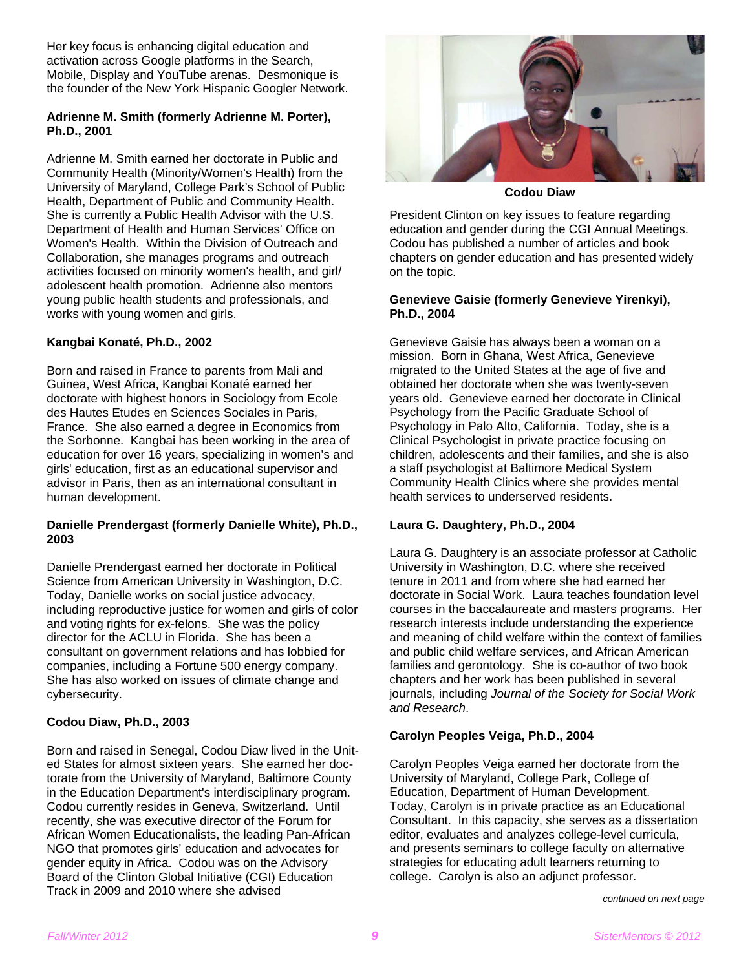Her key focus is enhancing digital education and activation across Google platforms in the Search, Mobile, Display and YouTube arenas. Desmonique is the founder of the New York Hispanic Googler Network.

#### **Adrienne M. Smith (formerly Adrienne M. Porter), Ph.D., 2001**

Adrienne M. Smith earned her doctorate in Public and Community Health (Minority/Women's Health) from the University of Maryland, College Park's School of Public Health, Department of Public and Community Health. She is currently a Public Health Advisor with the U.S. Department of Health and Human Services' Office on Women's Health. Within the Division of Outreach and Collaboration, she manages programs and outreach activities focused on minority women's health, and girl/ adolescent health promotion. Adrienne also mentors young public health students and professionals, and works with young women and girls.

#### **Kangbai Konaté, Ph.D., 2002**

Born and raised in France to parents from Mali and Guinea, West Africa, Kangbai Konaté earned her doctorate with highest honors in Sociology from Ecole des Hautes Etudes en Sciences Sociales in Paris, France. She also earned a degree in Economics from the Sorbonne. Kangbai has been working in the area of education for over 16 years, specializing in women's and girls' education, first as an educational supervisor and advisor in Paris, then as an international consultant in human development.

#### **Danielle Prendergast (formerly Danielle White), Ph.D., 2003**

Danielle Prendergast earned her doctorate in Political Science from American University in Washington, D.C. Today, Danielle works on social justice advocacy, including reproductive justice for women and girls of color and voting rights for ex-felons. She was the policy director for the ACLU in Florida. She has been a consultant on government relations and has lobbied for companies, including a Fortune 500 energy company. She has also worked on issues of climate change and cybersecurity.

#### **Codou Diaw, Ph.D., 2003**

Born and raised in Senegal, Codou Diaw lived in the United States for almost sixteen years. She earned her doctorate from the University of Maryland, Baltimore County in the Education Department's interdisciplinary program. Codou currently resides in Geneva, Switzerland. Until recently, she was executive director of the Forum for African Women Educationalists, the leading Pan-African NGO that promotes girls' education and advocates for gender equity in Africa. Codou was on the Advisory Board of the Clinton Global Initiative (CGI) Education Track in 2009 and 2010 where she advised



**Codou Diaw** 

President Clinton on key issues to feature regarding education and gender during the CGI Annual Meetings. Codou has published a number of articles and book chapters on gender education and has presented widely on the topic.

#### **Genevieve Gaisie (formerly Genevieve Yirenkyi), Ph.D., 2004**

Genevieve Gaisie has always been a woman on a mission. Born in Ghana, West Africa, Genevieve migrated to the United States at the age of five and obtained her doctorate when she was twenty-seven years old. Genevieve earned her doctorate in Clinical Psychology from the Pacific Graduate School of Psychology in Palo Alto, California. Today, she is a Clinical Psychologist in private practice focusing on children, adolescents and their families, and she is also a staff psychologist at Baltimore Medical System Community Health Clinics where she provides mental health services to underserved residents.

#### **Laura G. Daughtery, Ph.D., 2004**

Laura G. Daughtery is an associate professor at Catholic University in Washington, D.C. where she received tenure in 2011 and from where she had earned her doctorate in Social Work. Laura teaches foundation level courses in the baccalaureate and masters programs. Her research interests include understanding the experience and meaning of child welfare within the context of families and public child welfare services, and African American families and gerontology. She is co-author of two book chapters and her work has been published in several journals, including *Journal of the Society for Social Work and Research*.

#### **Carolyn Peoples Veiga, Ph.D., 2004**

Carolyn Peoples Veiga earned her doctorate from the University of Maryland, College Park, College of Education, Department of Human Development. Today, Carolyn is in private practice as an Educational Consultant. In this capacity, she serves as a dissertation editor, evaluates and analyzes college-level curricula, and presents seminars to college faculty on alternative strategies for educating adult learners returning to college. Carolyn is also an adjunct professor.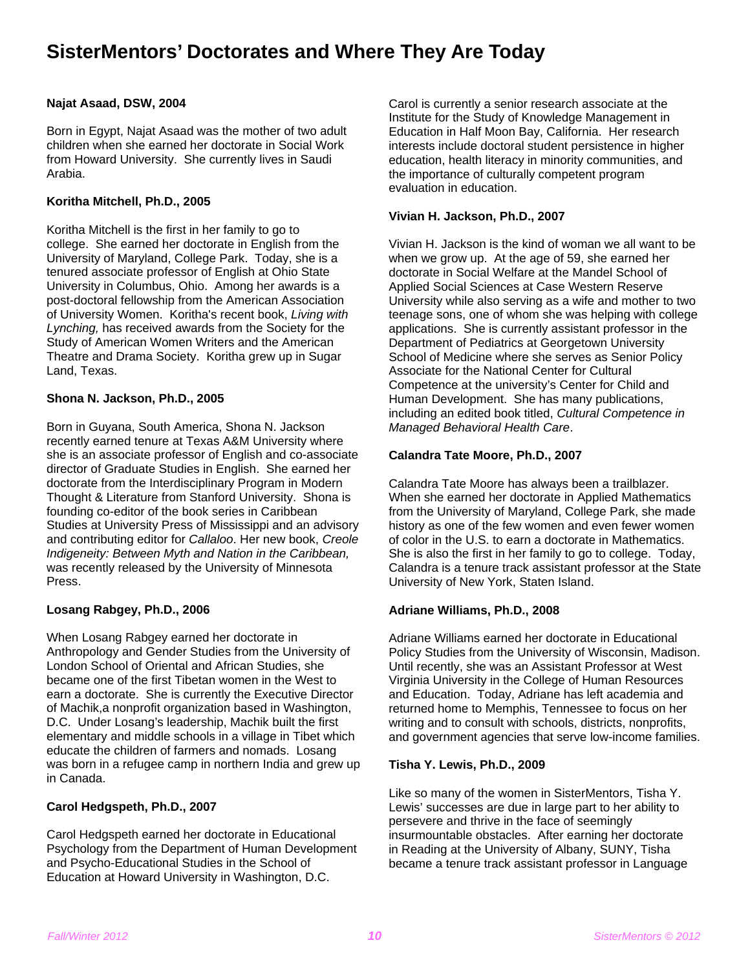### **SisterMentors' Doctorates and Where They Are Today**

#### **Najat Asaad, DSW, 2004**

Born in Egypt, Najat Asaad was the mother of two adult children when she earned her doctorate in Social Work from Howard University. She currently lives in Saudi Arabia.

#### **Koritha Mitchell, Ph.D., 2005**

Koritha Mitchell is the first in her family to go to college. She earned her doctorate in English from the University of Maryland, College Park. Today, she is a tenured associate professor of English at Ohio State University in Columbus, Ohio. Among her awards is a post-doctoral fellowship from the American Association of University Women. Koritha's recent book, *Living with Lynching,* has received awards from the Society for the Study of American Women Writers and the American Theatre and Drama Society. Koritha grew up in Sugar Land, Texas.

#### **Shona N. Jackson, Ph.D., 2005**

Born in Guyana, South America, Shona N. Jackson recently earned tenure at Texas A&M University where she is an associate professor of English and co-associate director of Graduate Studies in English. She earned her doctorate from the Interdisciplinary Program in Modern Thought & Literature from Stanford University. Shona is founding co-editor of the book series in Caribbean Studies at University Press of Mississippi and an advisory and contributing editor for *Callaloo*. Her new book, *Creole Indigeneity: Between Myth and Nation in the Caribbean,* was recently released by the University of Minnesota Press.

#### **Losang Rabgey, Ph.D., 2006**

When Losang Rabgey earned her doctorate in Anthropology and Gender Studies from the University of London School of Oriental and African Studies, she became one of the first Tibetan women in the West to earn a doctorate. She is currently the Executive Director of Machik,a nonprofit organization based in Washington, D.C. Under Losang's leadership, Machik built the first elementary and middle schools in a village in Tibet which educate the children of farmers and nomads. Losang was born in a refugee camp in northern India and grew up in Canada.

#### **Carol Hedgspeth, Ph.D., 2007**

Carol Hedgspeth earned her doctorate in Educational Psychology from the Department of Human Development and Psycho-Educational Studies in the School of Education at Howard University in Washington, D.C.

Carol is currently a senior research associate at the Institute for the Study of Knowledge Management in Education in Half Moon Bay, California. Her research interests include doctoral student persistence in higher education, health literacy in minority communities, and the importance of culturally competent program evaluation in education.

#### **Vivian H. Jackson, Ph.D., 2007**

Vivian H. Jackson is the kind of woman we all want to be when we grow up. At the age of 59, she earned her doctorate in Social Welfare at the Mandel School of Applied Social Sciences at Case Western Reserve University while also serving as a wife and mother to two teenage sons, one of whom she was helping with college applications. She is currently assistant professor in the Department of Pediatrics at Georgetown University School of Medicine where she serves as Senior Policy Associate for the National Center for Cultural Competence at the university's Center for Child and Human Development. She has many publications, including an edited book titled, *Cultural Competence in Managed Behavioral Health Care*.

#### **Calandra Tate Moore, Ph.D., 2007**

Calandra Tate Moore has always been a trailblazer. When she earned her doctorate in Applied Mathematics from the University of Maryland, College Park, she made history as one of the few women and even fewer women of color in the U.S. to earn a doctorate in Mathematics. She is also the first in her family to go to college. Today, Calandra is a tenure track assistant professor at the State University of New York, Staten Island.

#### **Adriane Williams, Ph.D., 2008**

Adriane Williams earned her doctorate in Educational Policy Studies from the University of Wisconsin, Madison. Until recently, she was an Assistant Professor at West Virginia University in the College of Human Resources and Education. Today, Adriane has left academia and returned home to Memphis, Tennessee to focus on her writing and to consult with schools, districts, nonprofits, and government agencies that serve low-income families.

#### **Tisha Y. Lewis, Ph.D., 2009**

Like so many of the women in SisterMentors, Tisha Y. Lewis' successes are due in large part to her ability to persevere and thrive in the face of seemingly insurmountable obstacles. After earning her doctorate in Reading at the University of Albany, SUNY, Tisha became a tenure track assistant professor in Language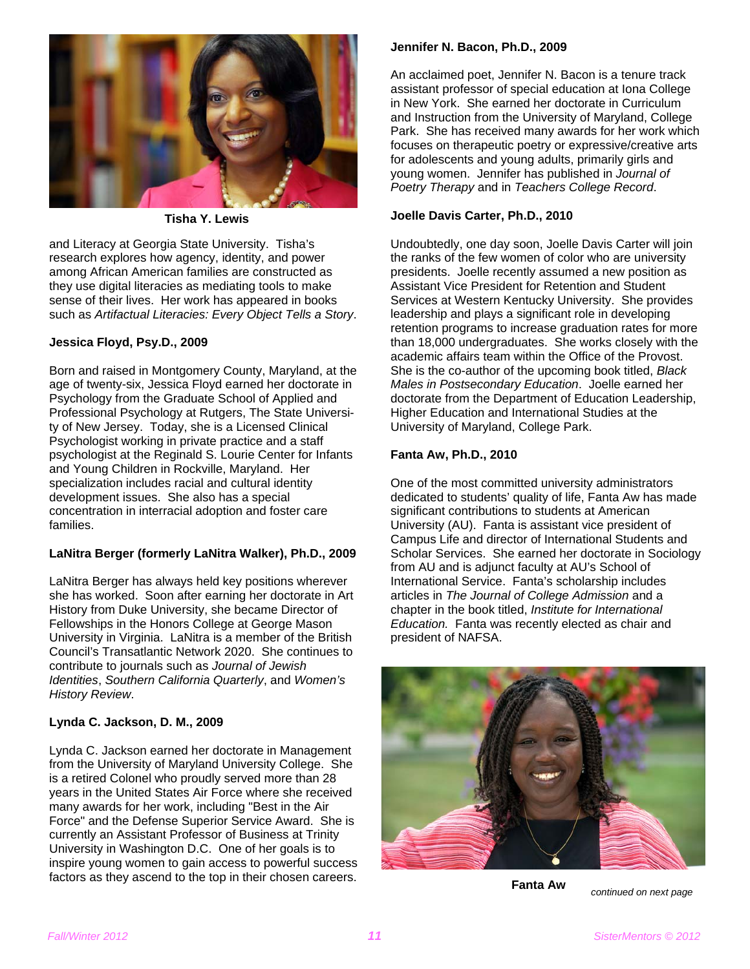

 **Tisha Y. Lewis** 

and Literacy at Georgia State University. Tisha's research explores how agency, identity, and power among African American families are constructed as they use digital literacies as mediating tools to make sense of their lives. Her work has appeared in books such as *Artifactual Literacies: Every Object Tells a Story*.

#### **Jessica Floyd, Psy.D., 2009**

Born and raised in Montgomery County, Maryland, at the age of twenty-six, Jessica Floyd earned her doctorate in Psychology from the Graduate School of Applied and Professional Psychology at Rutgers, The State University of New Jersey. Today, she is a Licensed Clinical Psychologist working in private practice and a staff psychologist at the Reginald S. Lourie Center for Infants and Young Children in Rockville, Maryland. Her specialization includes racial and cultural identity development issues. She also has a special concentration in interracial adoption and foster care families.

#### **LaNitra Berger (formerly LaNitra Walker), Ph.D., 2009**

LaNitra Berger has always held key positions wherever she has worked. Soon after earning her doctorate in Art History from Duke University, she became Director of Fellowships in the Honors College at George Mason University in Virginia. LaNitra is a member of the British Council's Transatlantic Network 2020. She continues to contribute to journals such as *Journal of Jewish Identities*, *Southern California Quarterly*, and *Women's History Review*.

#### **Lynda C. Jackson, D. M., 2009**

Lynda C. Jackson earned her doctorate in Management from the University of Maryland University College. She is a retired Colonel who proudly served more than 28 years in the United States Air Force where she received many awards for her work, including "Best in the Air Force" and the Defense Superior Service Award. She is currently an Assistant Professor of Business at Trinity University in Washington D.C. One of her goals is to inspire young women to gain access to powerful success factors as they ascend to the top in their chosen careers.

#### **Jennifer N. Bacon, Ph.D., 2009**

An acclaimed poet, Jennifer N. Bacon is a tenure track assistant professor of special education at Iona College in New York. She earned her doctorate in Curriculum and Instruction from the University of Maryland, College Park. She has received many awards for her work which focuses on therapeutic poetry or expressive/creative arts for adolescents and young adults, primarily girls and young women. Jennifer has published in *Journal of Poetry Therapy* and in *Teachers College Record*.

#### **Joelle Davis Carter, Ph.D., 2010**

Undoubtedly, one day soon, Joelle Davis Carter will join the ranks of the few women of color who are university presidents. Joelle recently assumed a new position as Assistant Vice President for Retention and Student Services at Western Kentucky University. She provides leadership and plays a significant role in developing retention programs to increase graduation rates for more than 18,000 undergraduates. She works closely with the academic affairs team within the Office of the Provost. She is the co-author of the upcoming book titled, *Black Males in Postsecondary Education*. Joelle earned her doctorate from the Department of Education Leadership, Higher Education and International Studies at the University of Maryland, College Park.

#### **Fanta Aw, Ph.D., 2010**

One of the most committed university administrators dedicated to students' quality of life, Fanta Aw has made significant contributions to students at American University (AU). Fanta is assistant vice president of Campus Life and director of International Students and Scholar Services. She earned her doctorate in Sociology from AU and is adjunct faculty at AU's School of International Service. Fanta's scholarship includes articles in *The Journal of College Admission* and a chapter in the book titled, *Institute for International Education.* Fanta was recently elected as chair and president of NAFSA.



**Fanta Aw** 

*continued on next page*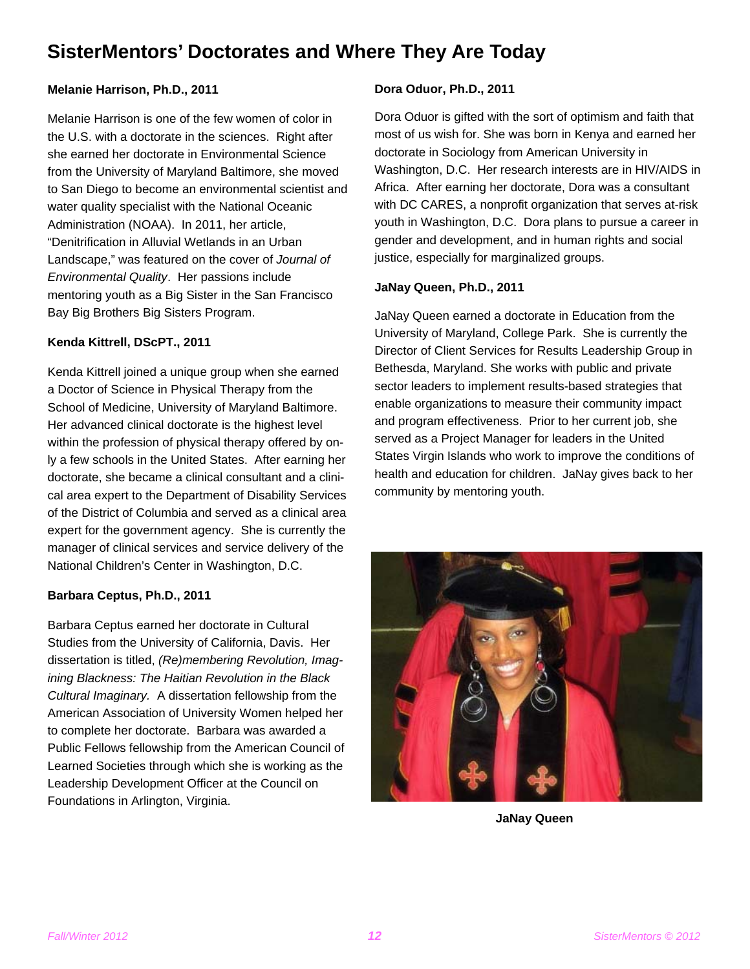### **SisterMentors' Doctorates and Where They Are Today**

#### **Melanie Harrison, Ph.D., 2011**

Melanie Harrison is one of the few women of color in the U.S. with a doctorate in the sciences. Right after she earned her doctorate in Environmental Science from the University of Maryland Baltimore, she moved to San Diego to become an environmental scientist and water quality specialist with the National Oceanic Administration (NOAA). In 2011, her article, "Denitrification in Alluvial Wetlands in an Urban Landscape," was featured on the cover of *Journal of Environmental Quality*. Her passions include mentoring youth as a Big Sister in the San Francisco Bay Big Brothers Big Sisters Program.

#### **Kenda Kittrell, DScPT., 2011**

Kenda Kittrell joined a unique group when she earned a Doctor of Science in Physical Therapy from the School of Medicine, University of Maryland Baltimore. Her advanced clinical doctorate is the highest level within the profession of physical therapy offered by only a few schools in the United States. After earning her doctorate, she became a clinical consultant and a clinical area expert to the Department of Disability Services of the District of Columbia and served as a clinical area expert for the government agency. She is currently the manager of clinical services and service delivery of the National Children's Center in Washington, D.C.

#### **Barbara Ceptus, Ph.D., 2011**

Barbara Ceptus earned her doctorate in Cultural Studies from the University of California, Davis. Her dissertation is titled, *(Re)membering Revolution, Imagining Blackness: The Haitian Revolution in the Black Cultural Imaginary.* A dissertation fellowship from the American Association of University Women helped her to complete her doctorate. Barbara was awarded a Public Fellows fellowship from the American Council of Learned Societies through which she is working as the Leadership Development Officer at the Council on Foundations in Arlington, Virginia.

#### **Dora Oduor, Ph.D., 2011**

Dora Oduor is gifted with the sort of optimism and faith that most of us wish for. She was born in Kenya and earned her doctorate in Sociology from American University in Washington, D.C. Her research interests are in HIV/AIDS in Africa. After earning her doctorate, Dora was a consultant with DC CARES, a nonprofit organization that serves at-risk youth in Washington, D.C. Dora plans to pursue a career in gender and development, and in human rights and social justice, especially for marginalized groups.

#### **JaNay Queen, Ph.D., 2011**

JaNay Queen earned a doctorate in Education from the University of Maryland, College Park. She is currently the Director of Client Services for Results Leadership Group in Bethesda, Maryland. She works with public and private sector leaders to implement results-based strategies that enable organizations to measure their community impact and program effectiveness. Prior to her current job, she served as a Project Manager for leaders in the United States Virgin Islands who work to improve the conditions of health and education for children. JaNay gives back to her community by mentoring youth.



**JaNay Queen**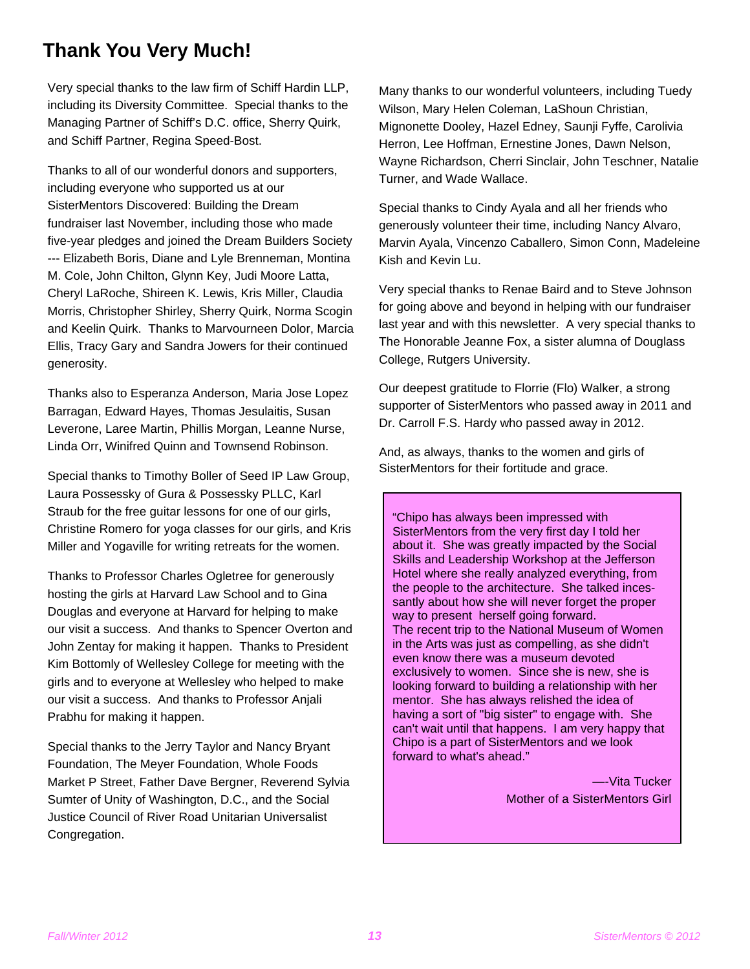### **Thank You Very Much!**

Very special thanks to the law firm of Schiff Hardin LLP, including its Diversity Committee. Special thanks to the Managing Partner of Schiff's D.C. office, Sherry Quirk, and Schiff Partner, Regina Speed-Bost.

Thanks to all of our wonderful donors and supporters, including everyone who supported us at our SisterMentors Discovered: Building the Dream fundraiser last November, including those who made five-year pledges and joined the Dream Builders Society --- Elizabeth Boris, Diane and Lyle Brenneman, Montina M. Cole, John Chilton, Glynn Key, Judi Moore Latta, Cheryl LaRoche, Shireen K. Lewis, Kris Miller, Claudia Morris, Christopher Shirley, Sherry Quirk, Norma Scogin and Keelin Quirk. Thanks to Marvourneen Dolor, Marcia Ellis, Tracy Gary and Sandra Jowers for their continued generosity.

Thanks also to Esperanza Anderson, Maria Jose Lopez Barragan, Edward Hayes, Thomas Jesulaitis, Susan Leverone, Laree Martin, Phillis Morgan, Leanne Nurse, Linda Orr, Winifred Quinn and Townsend Robinson.

Special thanks to Timothy Boller of Seed IP Law Group, Laura Possessky of Gura & Possessky PLLC, Karl Straub for the free guitar lessons for one of our girls, Christine Romero for yoga classes for our girls, and Kris Miller and Yogaville for writing retreats for the women.

Thanks to Professor Charles Ogletree for generously hosting the girls at Harvard Law School and to Gina Douglas and everyone at Harvard for helping to make our visit a success. And thanks to Spencer Overton and John Zentay for making it happen. Thanks to President Kim Bottomly of Wellesley College for meeting with the girls and to everyone at Wellesley who helped to make our visit a success. And thanks to Professor Anjali Prabhu for making it happen.

Special thanks to the Jerry Taylor and Nancy Bryant Foundation, The Meyer Foundation, Whole Foods Market P Street, Father Dave Bergner, Reverend Sylvia Sumter of Unity of Washington, D.C., and the Social Justice Council of River Road Unitarian Universalist Congregation.

Many thanks to our wonderful volunteers, including Tuedy Wilson, Mary Helen Coleman, LaShoun Christian, Mignonette Dooley, Hazel Edney, Saunji Fyffe, Carolivia Herron, Lee Hoffman, Ernestine Jones, Dawn Nelson, Wayne Richardson, Cherri Sinclair, John Teschner, Natalie Turner, and Wade Wallace.

Special thanks to Cindy Ayala and all her friends who generously volunteer their time, including Nancy Alvaro, Marvin Ayala, Vincenzo Caballero, Simon Conn, Madeleine Kish and Kevin Lu.

Very special thanks to Renae Baird and to Steve Johnson for going above and beyond in helping with our fundraiser last year and with this newsletter. A very special thanks to The Honorable Jeanne Fox, a sister alumna of Douglass College, Rutgers University.

Our deepest gratitude to Florrie (Flo) Walker, a strong supporter of SisterMentors who passed away in 2011 and Dr. Carroll F.S. Hardy who passed away in 2012.

And, as always, thanks to the women and girls of SisterMentors for their fortitude and grace.

"Chipo has always been impressed with SisterMentors from the very first day I told her about it. She was greatly impacted by the Social Skills and Leadership Workshop at the Jefferson Hotel where she really analyzed everything, from the people to the architecture. She talked incessantly about how she will never forget the proper way to present herself going forward. The recent trip to the National Museum of Women in the Arts was just as compelling, as she didn't even know there was a museum devoted exclusively to women. Since she is new, she is looking forward to building a relationship with her mentor. She has always relished the idea of having a sort of "big sister" to engage with. She can't wait until that happens. I am very happy that Chipo is a part of SisterMentors and we look forward to what's ahead."

> —-Vita Tucker Mother of a SisterMentors Girl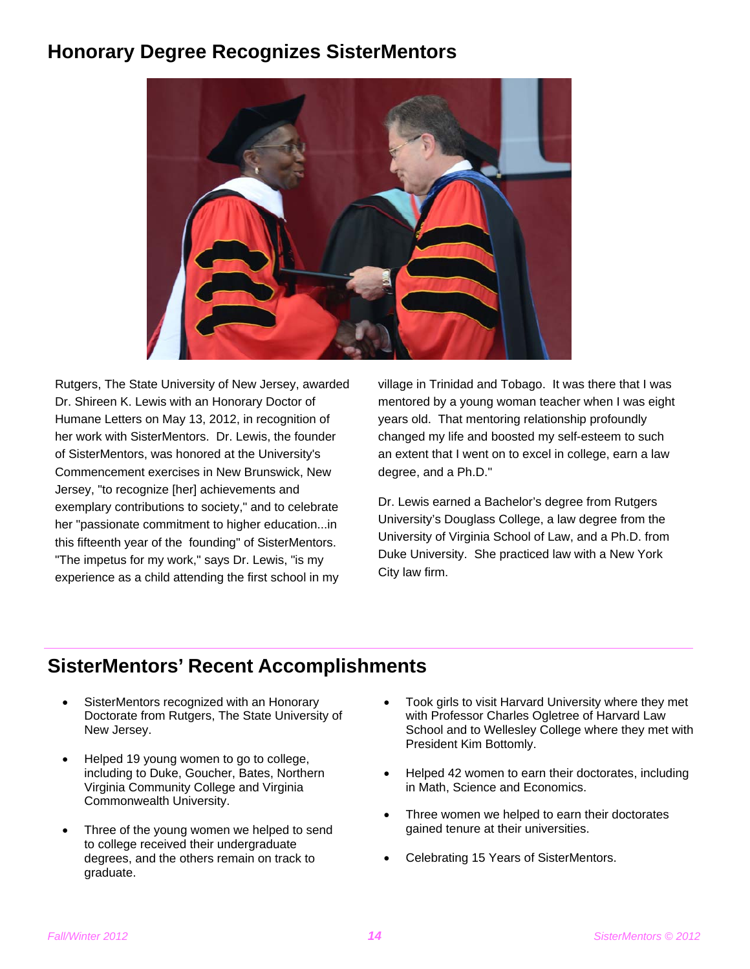### **Honorary Degree Recognizes SisterMentors**



Rutgers, The State University of New Jersey, awarded Dr. Shireen K. Lewis with an Honorary Doctor of Humane Letters on May 13, 2012, in recognition of her work with SisterMentors. Dr. Lewis, the founder of SisterMentors, was honored at the University's Commencement exercises in New Brunswick, New Jersey, "to recognize [her] achievements and exemplary contributions to society," and to celebrate her "passionate commitment to higher education...in this fifteenth year of the founding" of SisterMentors. "The impetus for my work," says Dr. Lewis, "is my experience as a child attending the first school in my

village in Trinidad and Tobago.It was there that I was mentored by a young woman teacher when I was eight years old. That mentoring relationship profoundly changed my life and boosted my self-esteem to such an extent that I went on to excel in college, earn a law degree, and a Ph.D."

Dr. Lewis earned a Bachelor's degree from Rutgers University's Douglass College, a law degree from the University of Virginia School of Law, and a Ph.D. from Duke University. She practiced law with a New York City law firm.

### **SisterMentors' Recent Accomplishments**

- SisterMentors recognized with an Honorary Doctorate from Rutgers, The State University of New Jersey.
- Helped 19 young women to go to college, including to Duke, Goucher, Bates, Northern Virginia Community College and Virginia Commonwealth University.
- Three of the young women we helped to send to college received their undergraduate degrees, and the others remain on track to graduate.
- Took girls to visit Harvard University where they met with Professor Charles Ogletree of Harvard Law School and to Wellesley College where they met with President Kim Bottomly.
- Helped 42 women to earn their doctorates, including in Math, Science and Economics.
- Three women we helped to earn their doctorates gained tenure at their universities.
- Celebrating 15 Years of SisterMentors.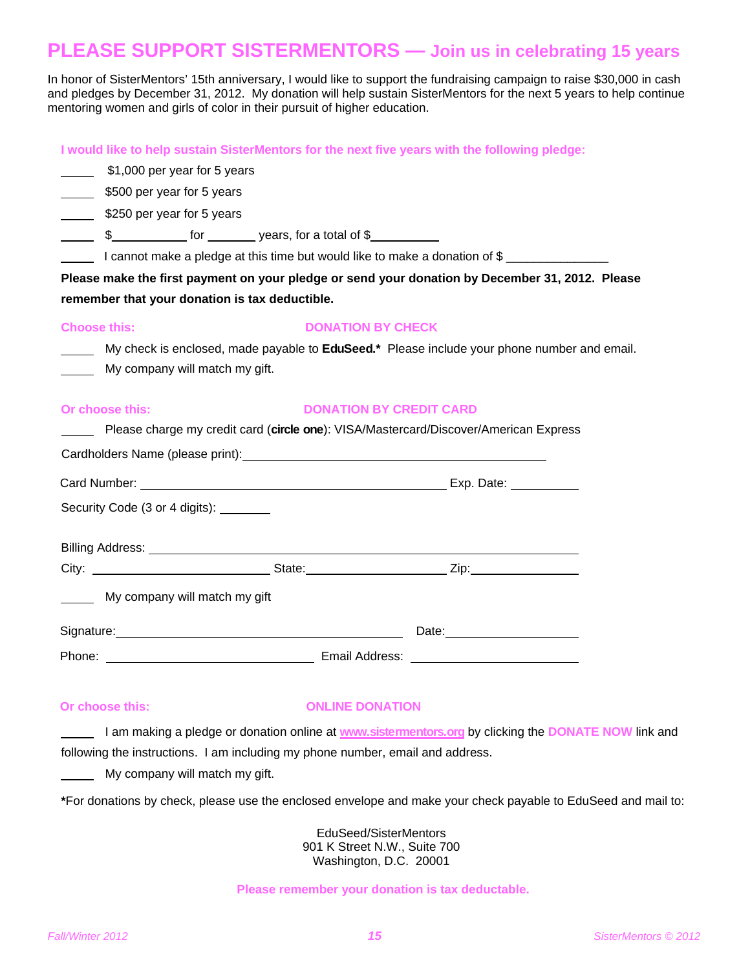### **PLEASE SUPPORT SISTERMENTORS — Join us in celebrating 15 years**

In honor of SisterMentors' 15th anniversary, I would like to support the fundraising campaign to raise \$30,000 in cash and pledges by December 31, 2012. My donation will help sustain SisterMentors for the next 5 years to help continue mentoring women and girls of color in their pursuit of higher education.

**I would like to help sustain SisterMentors for the next five years with the following pledge:** 

\$1,000 per year for 5 years

5500 per year for 5 years

\$250 per year for 5 years

\$\_\_\_\_\_\_\_\_\_\_\_\_\_\_\_ for \_\_\_\_\_\_\_\_\_ years, for a total of \$\_\_\_\_

I cannot make a pledge at this time but would like to make a donation of \$

**Please make the first payment on your pledge or send your donation by December 31, 2012. Please remember that your donation is tax deductible.**

| <b>Choose this:</b> | <b>DONATION BY CHECK</b> |
|---------------------|--------------------------|
|---------------------|--------------------------|

 My check is enclosed, made payable to **EduSeed.\*** Please include your phone number and email. My company will match my gift.

#### **Or choose this: DONATION BY CREDIT CARD**

| Please charge my credit card (circle one): VISA/Mastercard/Discover/American Express                                                                                                                                                 |  |  |  |  |
|--------------------------------------------------------------------------------------------------------------------------------------------------------------------------------------------------------------------------------------|--|--|--|--|
|                                                                                                                                                                                                                                      |  |  |  |  |
|                                                                                                                                                                                                                                      |  |  |  |  |
| Security Code (3 or 4 digits): _______                                                                                                                                                                                               |  |  |  |  |
|                                                                                                                                                                                                                                      |  |  |  |  |
|                                                                                                                                                                                                                                      |  |  |  |  |
| My company will match my gift                                                                                                                                                                                                        |  |  |  |  |
| Signature: <u>contact and a series of the series of the series of the series of the series of the series of the series of the series of the series of the series of the series of the series of the series of the series of the </u> |  |  |  |  |
|                                                                                                                                                                                                                                      |  |  |  |  |

#### **Or choose this: CONLINE DONATION**

 I am making a pledge or donation online at **www.sistermentors.org** by clicking the **DONATE NOW** link and following the instructions. I am including my phone number, email and address.

My company will match my gift.

**\***For donations by check, please use the enclosed envelope and make your check payable to EduSeed and mail to:

EduSeed/SisterMentors 901 K Street N.W., Suite 700 Washington, D.C. 20001

#### **Please remember your donation is tax deductable.**